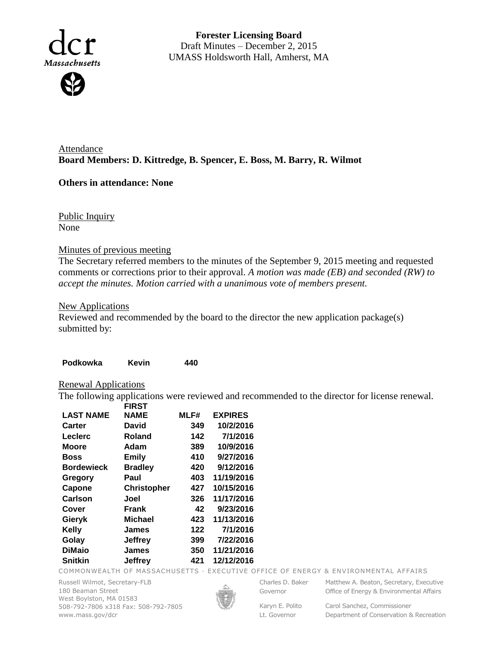

**Forester Licensing Board**  Draft Minutes – December 2, 2015 UMASS Holdsworth Hall, Amherst, MA

Attendance **Board Members: D. Kittredge, B. Spencer, E. Boss, M. Barry, R. Wilmot**

# **Others in attendance: None**

Public Inquiry None

## Minutes of previous meeting

The Secretary referred members to the minutes of the September 9, 2015 meeting and requested comments or corrections prior to their approval. *A motion was made (EB) and seconded (RW) to accept the minutes. Motion carried with a unanimous vote of members present.*

## New Applications

Reviewed and recommended by the board to the director the new application package(s) submitted by:

| Podkowka                    | <b>Kevin</b>       | 440  |                                                                                               |  |
|-----------------------------|--------------------|------|-----------------------------------------------------------------------------------------------|--|
| <b>Renewal Applications</b> |                    |      |                                                                                               |  |
|                             |                    |      | The following applications were reviewed and recommended to the director for license renewal. |  |
|                             | <b>FIRST</b>       |      |                                                                                               |  |
| <b>LAST NAME</b>            | <b>NAME</b>        | MLF# | <b>EXPIRES</b>                                                                                |  |
| <b>Carter</b>               | David              | 349  | 10/2/2016                                                                                     |  |
| <b>Leclerc</b>              | <b>Roland</b>      | 142  | 7/1/2016                                                                                      |  |
| <b>Moore</b>                | Adam               | 389  | 10/9/2016                                                                                     |  |
| <b>Boss</b>                 | <b>Emily</b>       | 410  | 9/27/2016                                                                                     |  |
| <b>Bordewieck</b>           | <b>Bradley</b>     | 420  | 9/12/2016                                                                                     |  |
| Gregory                     | Paul               | 403  | 11/19/2016                                                                                    |  |
| Capone                      | <b>Christopher</b> | 427  | 10/15/2016                                                                                    |  |
| Carlson                     | Joel               | 326  | 11/17/2016                                                                                    |  |
| Cover                       | <b>Frank</b>       | 42   | 9/23/2016                                                                                     |  |
| Gieryk                      | <b>Michael</b>     | 423  | 11/13/2016                                                                                    |  |
| Kelly                       | <b>James</b>       | 122  | 7/1/2016                                                                                      |  |
| Golay                       | <b>Jeffrey</b>     | 399  | 7/22/2016                                                                                     |  |
| <b>DiMaio</b>               | <b>James</b>       | 350  | 11/21/2016                                                                                    |  |
| <b>Snitkin</b>              | <b>Jeffrey</b>     | 421  | 12/12/2016                                                                                    |  |

COMMONWEALTH OF MASSACHUSETTS · EXECUTIVE OFFICE OF ENERGY & ENVIRONMENTAL AFFAIRS

Russell Wilmot, Secretary-FLB 180 Beaman Street West Boylston, MA 01583 508-792-7806 x318 Fax: 508-792-7805 www.mass.gov/dcr



Governor

Charles D. Baker Matthew A. Beaton, Secretary, Executive Office of Energy & Environmental Affairs

Lt. Governor

Karyn E. Polito Carol Sanchez, Commissioner Department of Conservation & Recreation